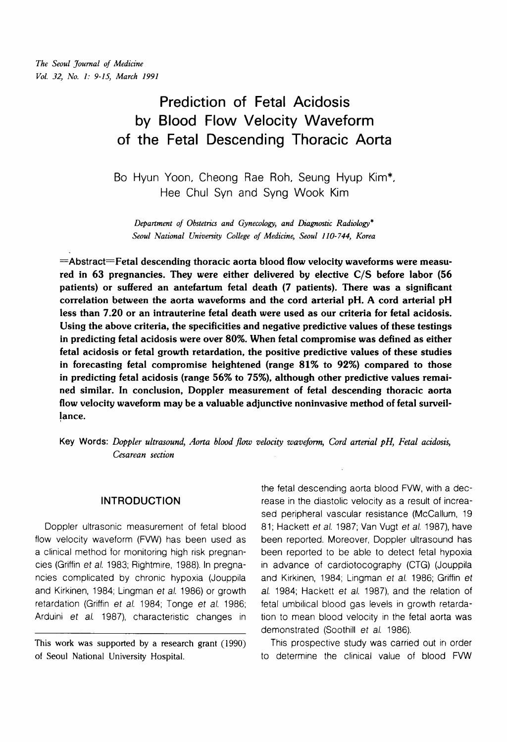# **Prediction of Fetal Acidosis by Blood Flow Velocity Waveform of the Fetal Descending Thoracic Aorta**

Bo Hyun Yoon, Cheong Rae Roh, Seung Hyup Kim\*, Hee Chul Syn and Syng Wook Kim

*Department of Obstetrics and Gynecology, and Diagnostic Radiology\* Seoul National University College of Medicine, Seoul 110- 744, Korea* 

 $=$ Abstract $=$ Fetal descending thoracic aorta blood flow velocity waveforms were measured in 63 pregnancies. They were either delivered by elective C/S before labor (56 patients) or suffered an antefartum fetal death (7 patients). There was a significant correlation between the aorta waveforms and the cord arterial pH. **A** cord arterial pH less than 7.20 or an intrauterine fetal death were used as our criteria for fetal acidosis. Using the above criteria, the specificities and negative predictive values of these testings in predicting fetal acidosis were over 80%. When fetal compromise was defined as either fetal acidosis or fetal growth retardation, the positive predictive values of these studies in forecasting fetal compromise heightened (range 81% to 92%) compared to those in predicting fetal acidosis (range 56% to 75%), although other predictive values remained similar. In conclusion, Doppler measurement of fetal descending thoracic aorta flow velocity waveform may be a valuable adjunctive noninvasive method of fetal surveillance.

**Key Words:** *Doppler ultrasound, Aorta blood* flow *velocity waveform, Cord arterial pH, Fetal acidosis, Cesarean section* 

# **INTRODUCTION**

Doppler ultrasonic measurement of fetal blood flow velocity waveform (FVW) has been used as a clinical method for monitoring high risk pregnancies (Griffin et a/. 1983; Rightmire, 1988). In pregnancies complicated by chronic hypoxia (Jouppila and Kirkinen, 1984; Lingman et al. 1986) or growth retardation (Griffin et al. 1984; Tonge et al. 1986; Arduini et al. 1987), characteristic changes in

This work was supported by a research grant (1990) of Seoul National University Hospital.

the fetal descending aorta blood FVW, with a decrease in the diastolic velocity as a result of increased peripheral vascular resistance (McCallum, 19 81; Hackett et al. 1987; Van Vugt et al. 1987), have been reported. Moreover, Doppler ultrasound has been reported to be able to detect fetal hypoxia in advance of cardiotocography (CTG) (Jouppila and Kirkinen, 1984; Lingman et a/. 1986; Griffin et al. 1984; Hackett et al. 1987), and the relation of fetal umbilical blood gas levels in growth retardation to mean blood velocity in the fetal aorta was demonstrated (Soothill et al. 1986).

This prospective study was carried out in order to determine the clinical value of blood FVW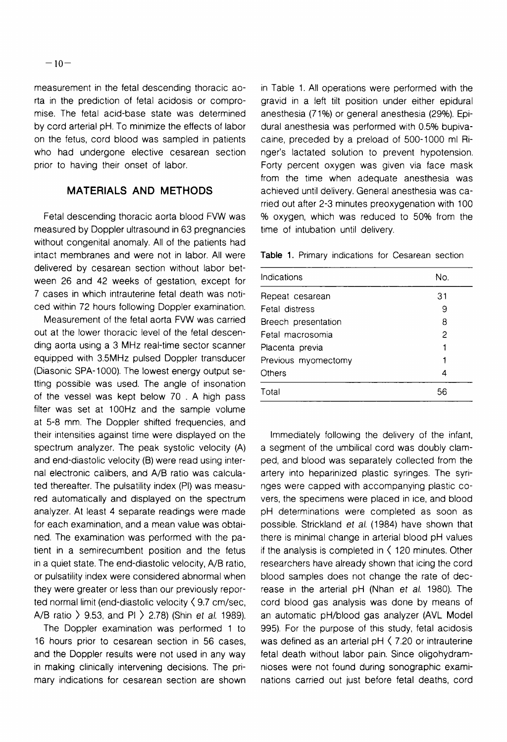measurement in the fetal descending thoracic aorta in the prediction of fetal acidosis or compromise. The fetal acid-base state was determined by ccrd arterial pH. To minimize the effects of labor on the fetus, cord blood was sampled in patients who had undergone elective cesarean section prior to having their onset of labor.

# **MATERIALS AND METHODS**

Fetal descending thoracic aorta blood FVW was measured by Doppler ultrasound in 63 pregnancies without congenital anomaly. All of the patients had intact membranes and were not in labor. All were delivered by cesarean section without labor between 26 and 42 weeks of gestation, except for 7 cases in which intrauterine fetal death was noticed within 72 hours following Doppler examination.

Measurement of the fetal aorta FVW was carried out at the lower thoracic level of the fetal descending aorta using a 3 MHz real-time sector scanner equipped with 3.5MHz pulsed Doppler transducer (Diasonic SPA-1 000). The lowest energy output setting possible was used. The angle of insonation of the vessel was kept below 70 . A high pass filter was set at 100Hz and the sample volume at 5-8 mm. The Doppler shifted frequencies, and their intensities against time were displayed on the spectrum analyzer. The peak systolic velocity (A) and end-diastolic velocity (B) were read using internal electronic calibers, and A/B ratio was calculated thereafter. The pulsatility index (PI) was measured automatically and displayed on the spectrum analyzer. At least 4 separate readings were made for each examination, and a mean value was obtained. The examination was performed with the patient in a semirecumbent position and the fetus in a quiet state. The end-diastolic velocity, A/B ratio, or pulsatility index were considered abnormal when they were greater or less than our previously reported normal limit (end-diastolic velocity  $\zeta$  9.7 cm/sec, A/B ratio  $> 9.53$ , and PI  $> 2.78$ ) (Shin et al. 1989).

The Doppler examination was performed 1 to 16 hours prior to cesarean section in 56 cases, and the Doppler results were not used in any way in making clinically intervening decisions. The primary indications for cesarean section are shown

in Table 1. All operations were performed with the gravid in a left tilt position under either epidural anesthesia (71%) or general anesthesia (29%). Epidural anesthesia was performed with 0.5% bupivacaine, preceded by a preload of 500-1000 ml Ringer's lactated solution to prevent hypotension. Forty percent oxygen was given via face mask from the time when adequate anesthesia was achieved until delivery. General anesthesia was carried out after 2-3 minutes preoxygenation with 100 % oxygen, which was reduced to 50% from the time of intubation until delivery.

**Table** 1. Primary indications for Cesarean section

| Indications         | No. |
|---------------------|-----|
| Repeat cesarean     | 31  |
| Fetal distress      | 9   |
| Breech presentation | 8   |
| Fetal macrosomia    | 2   |
| Placenta previa     |     |
| Previous myomectomy |     |
| Others              | 4   |
| Total               | 56  |

Immediately following the delivery of the infant, a segment of the umbilical cord was doubly clamped, and blood was separately collected from the artery into heparinized plastic syringes. The syringes were capped with accompanying plastic covers, the specimens were placed in ice, and blood pH determinations were completed as soon as possible. Strickland et al. (1984) have shown that there is minimal change in arterial blood pH values if the analysis is completed in  $\langle$  120 minutes. Other researchers have already shown that icing the cord blood samples does not change the rate of decrease in the arterial pH (Nhan et al. 1980). The cord blood gas analysis was done by means of an automatic pH/blood gas analyzer (AVL Model 995). For the purpose of this study, fetal acidosis was defined as an arterial  $pH \le 7.20$  or intrauterine fetal death without labor pain. Since oligohydramnioses were not found during sonographic examinations carried out just before fetal deaths, cord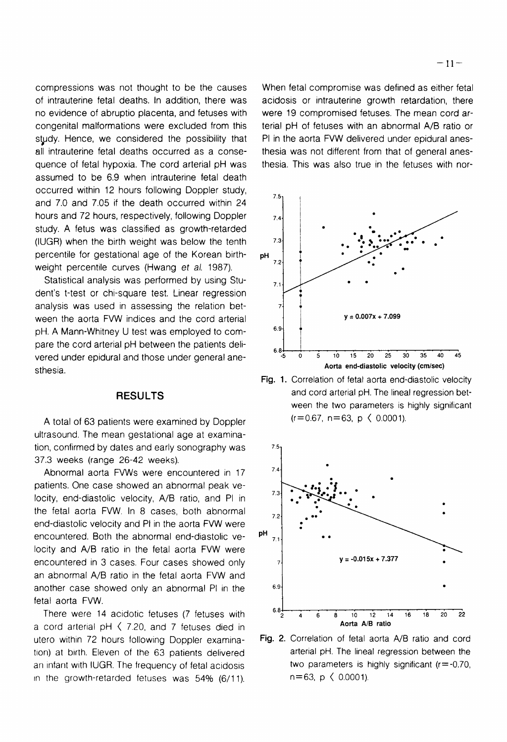compressions was not thought to be the causes of intrauterine fetal deaths. In addition, there was no evidence of abruptio placenta, and fetuses with congenital malformations were excluded from this study. Hence, we considered the possibility that all intrauterine fetal deaths occurred as a consequence of fetal hypoxia. The cord arterial pH was assumed to be 6.9 when intrauterine fetal death occurred within 12 hours following Doppler study, and 7.0 and 7.05 if the death occurred within 24 hours and 72 hours, respectively, following Doppler study. A fetus was classified as growth-retarded (IUGR) when the birth weight was below the tenth percentile for gestational age of the Korean birthweight percentile curves (Hwang et al. 1987).

Statistical analysis was performed by using Student's t-test or chi-square test. Linear regression analysis was used in assessing the relation between the aorta FVW indices and the cord arterial pH. A Mann-Whitney U test was employed to compare the cord arterial pH between the patients delivered under epidural and those under general anesthesia.

#### **RESULTS**

A total of 63 patients were examined by Doppler ultrasound. The mean gestational age at examination, confirmed by dates and early sonography was 37.3 weeks (range 26-42 weeks).

Abnormal aorta FVWs were encountered in 17 patients. One case showed an abnormal peak ve-1.<br>Iocity, end-diastolic velocity, A/B ratio, and PI in 3.3 the fetal aorta FVW. In 8 cases, both abnormal  $\frac{1}{7.2}$ end-diastolic velocity and PI in the aorta FVW were encountered. Both the abnormal end-diastolic velocity and A/B ratio in the fetal aorta FVW were encountered in 3 cases. Four cases showed only 7. an abnormal A/B ratio in the fetal aorta FVW and another case showed only an abnormal PI in the 6.9 fetal aorta FVW.

a cord arterial pH  $\langle$  7.20, and 7 fetuses died in **A**orta A/B ratio utero within 72 hours following Doppler examina- **Fig.** 2. Correlation of fetal aorta **A10** ratio and cord tion) at birth. Eleven of the 63 patients delivered arterial pH. The lineal regression between the an infant with IUGR. The frequency of fetal acidosis two parameters is highly significant ( $r=-0.70$ , in the growth-retarded fetuses was  $54\%$  (6/11).  $n=63$ , p  $\langle$  0.0001).

When fetal compromise was defined as either fetal acidosis or intrauterine growth retardation, there were 19 compromised fetuses. The mean cord arterial pH of fetuses with an abnormal A/B ratio or PI in the aorta FVW delivered under epidural anesthesia was not different from that of general anesthesia. This was also true in the fetuses with nor-



Fig. 1. Correlation of fetal aorta end-diastolic velocity and cord arterial pH. The lineal regression between the two parameters is highly significant  $(r=0.67, n=63, p \le 0.0001)$ .

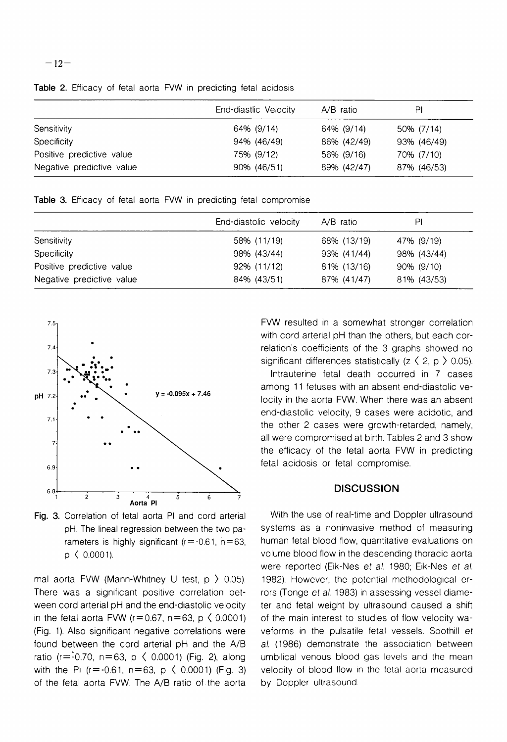|                           | End-diastlic Velocity | $A/B$ ratio | PI          |  |
|---------------------------|-----------------------|-------------|-------------|--|
| Sensitivity               | 64% (9/14)            | 64% (9/14)  | 50% (7/14)  |  |
| <b>Specificity</b>        | 94% (46/49)           | 86% (42/49) | 93% (46/49) |  |
| Positive predictive value | 75% (9/12)            | 56% (9/16)  | 70% (7/10)  |  |
| Negative predictive value | 90% (46/51)           | 89% (42/47) | 87% (46/53) |  |

Table 2. Efficacy of fetal aorta FVW in predicting fetal acidosis

Table 3. Efficacy of fetal aorta FVW in predicting fetal compromise

|                           | End-diastolic velocity | $A/B$ ratio | ΡI          |
|---------------------------|------------------------|-------------|-------------|
| Sensitivity               | 58% (11/19)            | 68% (13/19) | 47% (9/19)  |
| <b>Specificity</b>        | 98% (43/44)            | 93% (41/44) | 98% (43/44) |
| Positive predictive value | 92% (11/12)            | 81% (13/16) | 90% (9/10)  |
| Negative predictive value | 84% (43/51)            | 87% (41/47) | 81% (43/53) |



Fig. 3. Correlation of fetal aorta PI and cord arterial pH. The lineal regression between the two parameters is highly significant ( $r = -0.61$ ,  $n = 63$ , p ( 0.0001).

mal aorta FVW (Mann-Whitney U test,  $p > 0.05$ ). There was a significant positive correlation between cord arterial pH and the end-diastolic velocity in the fetal aorta FVW ( $r=0.67$ ,  $n=63$ ,  $p \le 0.0001$ ) (Fig. 1). Also significant negative correlations were found between the cord arterial pH and the A/B ratio ( $r = -0.70$ ,  $n = 63$ ,  $p \le 0.0001$ ) (Fig. 2), along with the PI ( $r = -0.61$ ,  $n = 63$ ,  $p \le 0.0001$ ) (Fig. 3) of the fetal aorta FVW. The A/B ratio of the aorta

FVW resulted in a somewhat stronger correlation with cord arterial pH than the others, but each correlation's coefficients of the 3 graphs showed no significant differences statistically  $(z \langle 2, p \rangle 0.05)$ .

Intrauterine fetal death occurred in 7 cases among 11 fetuses with an absent end-diastolic velocity in the aorta FVW. When there was an absent end-diastolic velocity, 9 cases were acidotic, and the other 2 cases were growth-retarded, namely, all were compromised at birth. Tables 2 and 3 show the efficacy of the fetal aorta FVW in predicting fetal acidosis or fetal compromise.

## **DISCUSSION**

With the use of real-time and Doppler ultrasound systems as a noninvasive method of measuring human fetal blood flow, quantitative evaluations on volume blood flow in the descending thoracic aorta were reported (Eik-Nes et al. 1980; Eik-Nes et al. 1982). However, the potential methodological errors (Tonge et al. 1983) in assessing vessel diameter and fetal weight by ultrasound caused a shift of the main interest to studies of flow velocity waveforms in the pulsatile fetal vessels. Soothill et al. (1986) demonstrate the association between umbilical venous blood gas levels and the mean velocity of blood flow in the fetal aorta measured by Doppler ultrasound.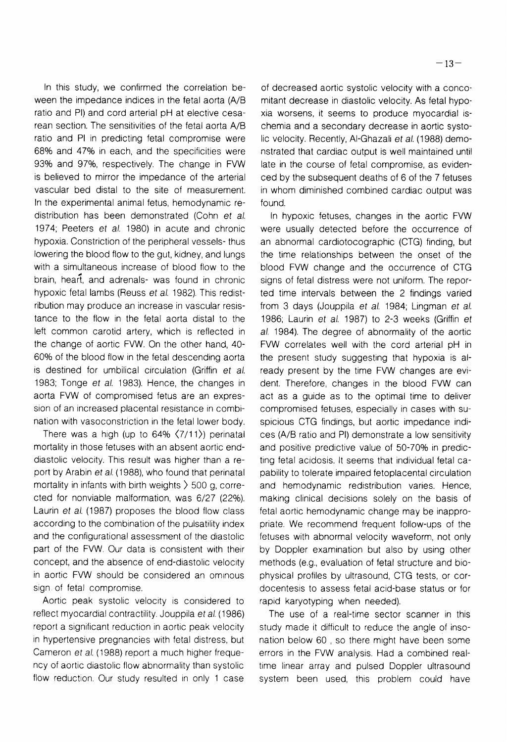In this study, we confirmed the correlation beween the impedance indices in the fetal aorta (A/B ratio and PI) and cord arterial pH at elective cesarean section. The sensitivities of the fetal aorta A/B ratio and PI in predicting fetal compromise were 68% and 47% in each, and the specificities were 93% and 97%, respectively. The change in FVW is believed to mirror the impedance of the arterial vascular bed distal to the site of measurement. In the experimental animal fetus, hemodynamic redistribution has been demonstrated (Cohn et al. 1974; Peeters et al. 1980) in acute and chronic hypoxia. Constriction of the peripheral vessels- thus lowering the blood flow to the gut, kidney, and lungs with a simultaneous increase of blood flow to the brain, heart, and adrenals- was found in chronic hypoxic fetal lambs (Reuss et al. 1982). This redistribution may produce an increase in vascular resistance to the flow in the fetal aorta distal to the left common carotid artery, which is reflected in the change of aortic FVW. On the other hand, 40- 60% of the blood flow in the fetal descending aorta is destined for umbilical circulation (Griffin et al. 1983; Tonge et al. 1983). Hence, the changes in aorta FVW of compromised fetus are an expression of an increased placental resistance in combination with vasoconstriction in the fetal lower body.

There was a high (up to  $64\%$   $\langle 7/11 \rangle$ ) perinatal mortality in those fetuses with an absent aortic enddiastolic velocity. This result was higher than a report by Arabin et al. (1988), who found that perinatal mortality in infants with birth weights ) 500 g, corrected for nonviable malformation, was 6/27 (22%). Laurin et al. (1987) proposes the blood flow class according to the combination of the pulsatility index and the configurational assessment of the diastolic part of the FVW. Our data is consistent with their concept, and the absence of end-diastolic velocity in aortic FVW should be considered an omlnous sign of fetal compromise.

Aortic peak systolic velocity is considered to reflect myocardial contractility. Jouppila et al. (1986) report a significant reduction in aortic peak velocity in hypertensive pregnancies with fetal distress, but Cameron et al. (1988) report a much higher frequency of aortic diastolic flow abnormality than systolic flow reduction. Our study resulted in only 1 case

of decreased aortic systolic velocity with a concomitant decrease in diastolic velocity. As fetal hypoxia worsens, it seems to produce myocardial ischemia and a secondary decrease in aortic systolic velocity. Recently, Al-Ghazali et al. (1988) demonstrated that cardiac output is well maintained until late in the course of fetal compromise, as evidenced by the subsequent deaths of 6 of the 7 fetuses in whom diminished combined cardiac output was found.

In hypoxic fetuses, changes in the aortic FVW were usually detected before the occurrence of an abnormal cardiotocographic (CTG) finding, but the time relationships between the onset of the blood FVW change and the occurrence of CTG signs of fetal distress were not uniform. The reported time intervals between the 2 findings varied from 3 days (Jouppila et al. 1984; Lingman et al. 1986; Laurin et al. 1987) to 2-3 weeks (Griffin et al. 1984). The degree of abnormality of the aortic FVW correlates well with the cord arterial pH in the present study suggesting that hypoxia is already present by the time FVW changes are evident. Therefore, changes in the blood FVW can act as a guide as to the optimal time to deliver compromised fetuses, especially in cases with suspicious CTG findings, but aortic impedance indices (A/B ratio and PI) demonstrate a low sensitivity and positive predictive value of 50-70% in predicting fetal acidosis. It seems that individual fetal capability to tolerate impaired fetoplacental circulation and hemodynamic redistribution varies. Hence, making clinical decisions solely on the basis of fetal aortic hemodynamic change may be inappropriate. We recommend frequent follow-ups of the fetuses with abnormal velocity waveform, not only by Doppler examination but also by using other methods (e.g., evaluation of fetal structure and biophysical profiles by ultrasound, CTG tests, or cordocentesis to assess fetal acid-base status or for rapid karyotyping when needed).

The use of a real-time sector scanner in this study made it difficult to reduce the angle of insonation below 60 , so there might have been some errors in the FVW analysis. Had a combined realtime linear array and pulsed Doppler ultrasound system been used, this problem could have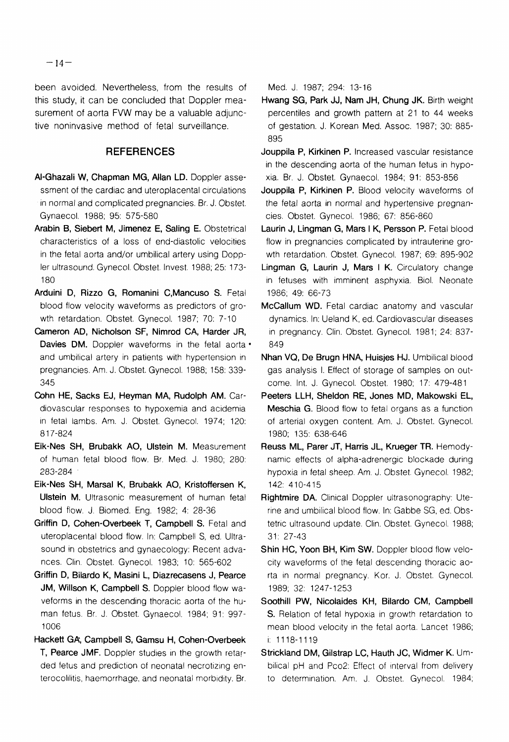been avoided. Nevertheless, from the results of this study, it can be concluded that Doppler measurement of aorta FVW may be a valuable adjunctive noninvasive method of fetal surveillance.

### **REFERENCES**

- Al-Ghazali W, Chapman MG, Allan LD. Doppler assessment of the cardiac and uteroplacental circulations in normal and complicated pregnancies. Br. J. Obstet. Gynaecol. 1988; 95: 575-580
- Arabin B, Siebert M, Jimenez E, Saling E. Obstetrical characteristics of a loss of end-diastolic velocities in the fetal aorta and/or umbilical artery using Doppler ultrasound. Gynecol. Obstet. Invest. 1988; 25: 173- 180
- Arduini D, Rizzo G, Romanini C,Mancuso S. Fetal blood flow velocity waveforms as predictors of growth retardation. Obstet. Gynecol. 1987; 70: 7-10
- Cameron AD, Nicholson SF, Nimrod CA, Harder JR, Davies DM. Doppler waveforms in the fetal aorta • and umbilical artery in patients with hypertension in pregnancies. Am. J. Obstet. Gynecol. 1988; 158: 339- 345
- Cohn HE, Sacks EJ, Heyman MA, Rudolph AM. Cardiovascular responses to hypoxemia and acidemia in fetal lambs. Am. J. Obstet. Gynecol. 1974; 120: 817-824
- Eik-Nes SH, Brubakk AO, Ulstein M. Measurement of human fetal blood flow. Br. Med. J. 1980; 280: 283-284 '
- Eik-Nes SH, Marsal K, Brubakk AO, Kristoffersen K, Ulstein M. Ultrasonic measurement of human fetal blood flow. J. Biomed. Eng. 1982; 4: 28-36
- Griffin D, Cohen-Overbeek T, Campbell S. Fetal and uteroplacental blood flow. In: Campbell S, ed. Ultrasound in obstetrics and gynaecology: Recent advances. Clin. Obstet. Gynecol. 1983; 10: 565-602
- Griffin D, Bilardo K, Masini L, Diazrecasens J, Pearce JM, Willson K, Campbell S. Doppler blood flow waveforms in the descending thoracic aorta of the human fetus. Br. J. Obstet. Gynaecol. 1984; 91: 997- 1006
- Hackett **GA,** Campbell S, Gamsu H, Cohen-Overbeek T, Pearce JMF. Doppler studies in the growth retarded fetus and prediction of neonatal necrotizing enterocolilitis, haemorrhage, and neonatal morbidity. Br.

Med. J. 1987; 294: 13-16

- Hwang SG, Park JJ, Nam JH, Chung JK. Birth weight percentiles and growth pattern at 21 to 44 weeks of gestation. J. Korean Med. Assoc. 1987; 30: 885- 895
- Jouppila P, Kirkinen P. Increased vascular resistance in the descending aorta of the human fetus in hypoxia. Br. J. Obstet. Gynaecol. 1984; 91: 853-856
- Jouppila P, Kirkinen P. Blood velocity waveforms of the fetal aorta in normal and hypertensive pregnancies. Obstet. Gynecol. 1986; 67: 856-860
- Laurin J, Lingman G, Mars I K, Persson P. Fetal blood flow in pregnancies complicated by intrauterine growth retardation. Obstet. Gynecol. 1987; 69: 895-902
- Lingman G, Laurin J, Mars I K. Circulatory change in fetuses with imminent asphyxia. Biol. Neonate 1986; 49: 66-73
- McCallum WD. Fetal cardiac anatomy and vascular dynamics. In: Ueland K, ed. Cardiovascular diseases in pregnancy. Clin. Obstet. Gynecol. 1981; 24: 837- 849
- Nhan VQ, De Brugn HNA, Huisjes HJ. Umbilical blood gas analysis I. Effect of storage of samples on outcome. Int. J. Gynecol. Obstet. 1980; 17: 479-481
- Peeters LLH, Sheldon RE, Jones MD, Makowski EL, Meschia G. Blood flow to fetal organs as a function of arterial oxygen content. Am. J. Obstet. Gynecol. 1980; 135: 638-646
- Reuss ML, Parer JT, Harris JL, Krueger TR. Hemodynamic effects of alpha-adrenergic blockade during hypoxia in fetal sheep. Am. J. Obstet. Gynecol. 1982; 142: 410-415
- Rightmire DA. Clinical Doppler ultrasonography: Uterine and umbilical blood flow. In: Gabbe SG, ed. Obstetric ultrasound update. Clin. Obstet. Gynecol. 1988; 31: 27-43
- Shin HC, Yoon BH, Kim SW. Doppler blood flow velocity waveforms of the fetal descending thoracic aorta in normal pregnancy. Kor. J. Obstet. Gynecol. 1989; 32: 1247-1253
- Soothill PW, Nicolaides KH, Bilardo CM, Campbell S. Relation of fetal hypoxia in growth retardation to mean blood velocity in the fetal aorta. Lancet 1986; i: 1118-1119
- Strickland DM, Gilstrap LC, Hauth JC, Widmer K. Umbilical pH and Pco2: Effect of interval from delivery to determination. Am. J. Obstet. Gynecol. 1984;